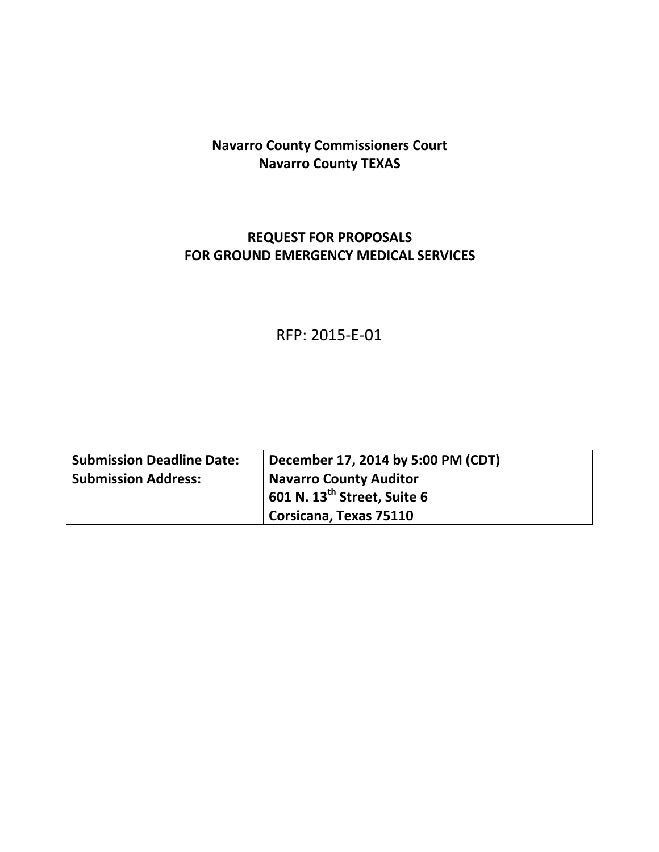# **Navarro County Commissioners Court Navarro County TEXAS**

## **REQUEST FOR PROPOSALS FOR GROUND EMERGENCY MEDICAL SERVICES**

# RFP: 2015-E-01

| <b>Submission Deadline Date:</b> | December 17, 2014 by 5:00 PM (CDT)              |  |
|----------------------------------|-------------------------------------------------|--|
| <b>Submission Address:</b>       | <b>Navarro County Auditor</b>                   |  |
|                                  | $\vert$ 601 N. 13 <sup>th</sup> Street, Suite 6 |  |
|                                  | Corsicana, Texas 75110                          |  |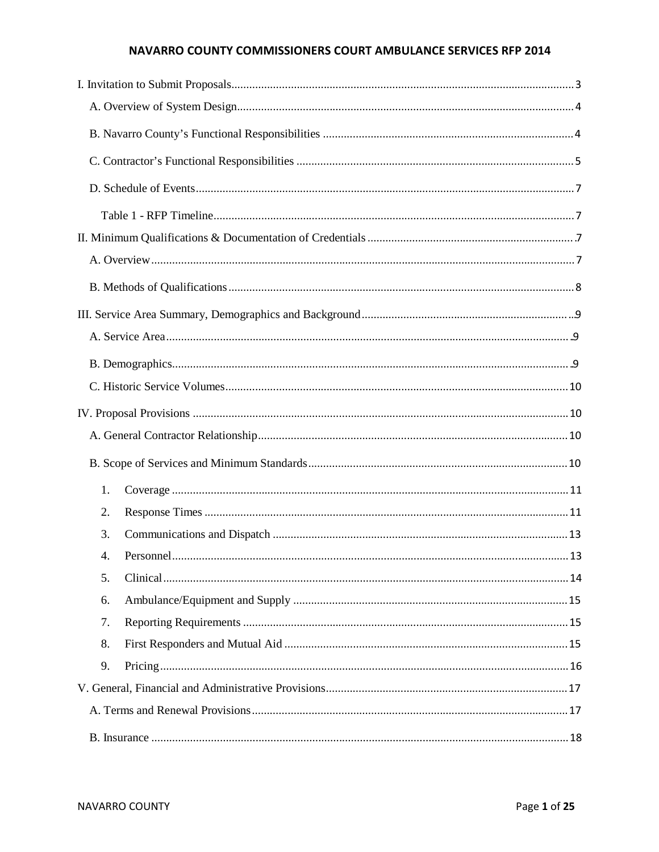#### NAVARRO COUNTY COMMISSIONERS COURT AMBULANCE SERVICES RFP 2014

| 1. |  |
|----|--|
| 2. |  |
| 3. |  |
| 4. |  |
| 5. |  |
| 6. |  |
| 7. |  |
| 8. |  |
| 9. |  |
|    |  |
|    |  |
|    |  |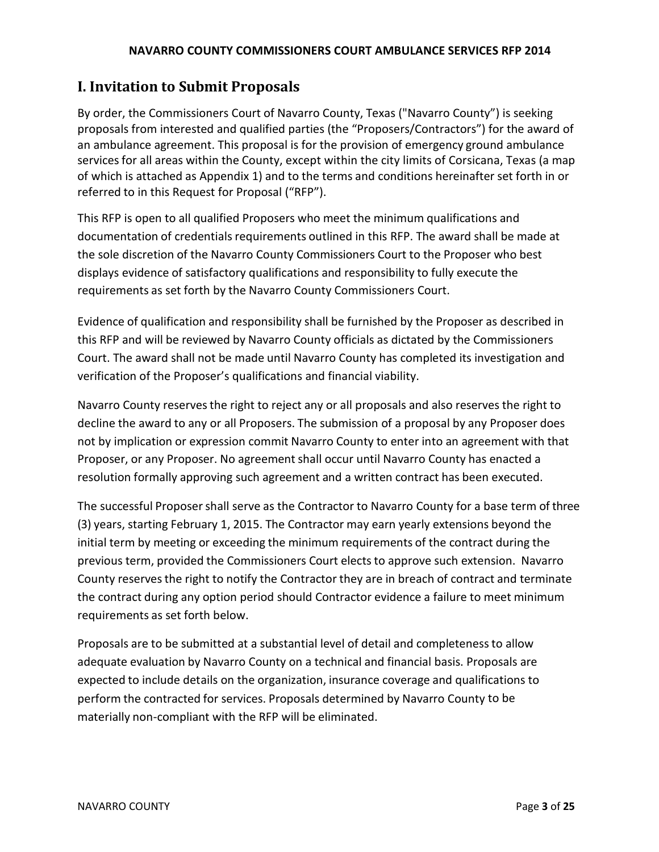#### **NAVARRO COUNTY COMMISSIONERS COURT AMBULANCE SERVICES RFP 2014**

### **I. Invitation to Submit Proposals**

By order, the Commissioners Court of Navarro County, Texas ("Navarro County") is seeking proposals from interested and qualified parties (the "Proposers/Contractors") for the award of an ambulance agreement. This proposal is for the provision of emergency ground ambulance services for all areas within the County, except within the city limits of Corsicana, Texas (a map of which is attached as Appendix 1) and to the terms and conditions hereinafter set forth in or referred to in this Request for Proposal ("RFP").

This RFP is open to all qualified Proposers who meet the minimum qualifications and documentation of credentials requirements outlined in this RFP. The award shall be made at the sole discretion of the Navarro County Commissioners Court to the Proposer who best displays evidence of satisfactory qualifications and responsibility to fully execute the requirements as set forth by the Navarro County Commissioners Court.

Evidence of qualification and responsibility shall be furnished by the Proposer as described in this RFP and will be reviewed by Navarro County officials as dictated by the Commissioners Court. The award shall not be made until Navarro County has completed its investigation and verification of the Proposer's qualifications and financial viability.

Navarro County reservesthe right to reject any or all proposals and also reserves the right to decline the award to any or all Proposers. The submission of a proposal by any Proposer does not by implication or expression commit Navarro County to enter into an agreement with that Proposer, or any Proposer. No agreement shall occur until Navarro County has enacted a resolution formally approving such agreement and a written contract has been executed.

The successful Proposershall serve as the Contractor to Navarro County for a base term of three (3) years, starting February 1, 2015. The Contractor may earn yearly extensions beyond the initial term by meeting or exceeding the minimum requirements of the contract during the previous term, provided the Commissioners Court electsto approve such extension. Navarro County reserves the right to notify the Contractor they are in breach of contract and terminate the contract during any option period should Contractor evidence a failure to meet minimum requirements as set forth below.

Proposals are to be submitted at a substantial level of detail and completenessto allow adequate evaluation by Navarro County on a technical and financial basis. Proposals are expected to include details on the organization, insurance coverage and qualifications to perform the contracted for services. Proposals determined by Navarro County to be materially non-compliant with the RFP will be eliminated.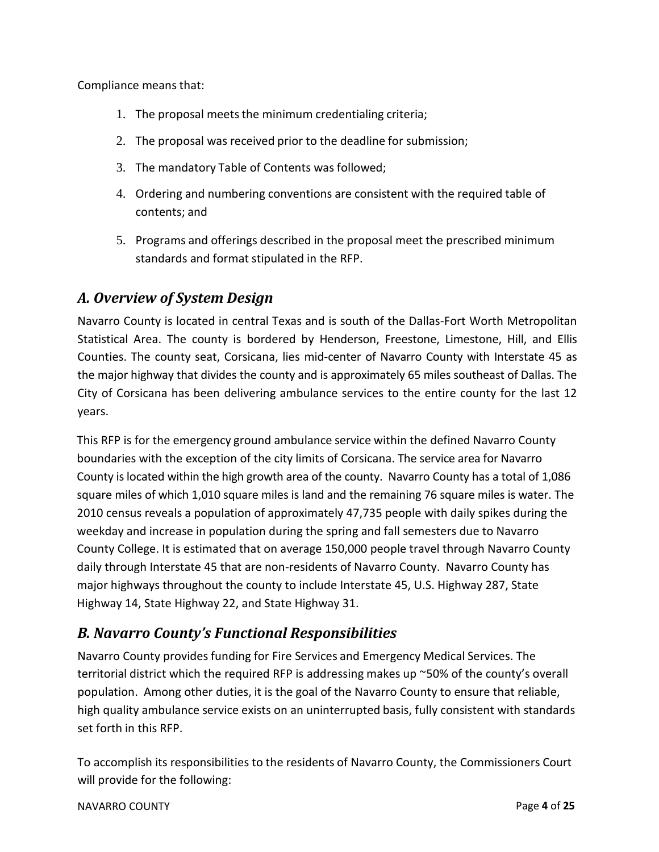Compliance means that:

- 1. The proposal meets the minimum credentialing criteria;
- 2. The proposal was received prior to the deadline for submission;
- 3. The mandatory Table of Contents was followed;
- 4. Ordering and numbering conventions are consistent with the required table of contents; and
- 5. Programs and offerings described in the proposal meet the prescribed minimum standards and format stipulated in the RFP.

## *A. Overview of System Design*

Navarro County is located in central Texas and is south of the Dallas-Fort Worth Metropolitan Statistical Area. The county is bordered by Henderson, Freestone, Limestone, Hill, and Ellis Counties. The county seat, Corsicana, lies mid-center of Navarro County with Interstate 45 as the major highway that divides the county and is approximately 65 miles southeast of Dallas. The City of Corsicana has been delivering ambulance services to the entire county for the last 12 years.

This RFP is for the emergency ground ambulance service within the defined Navarro County boundaries with the exception of the city limits of Corsicana. The service area for Navarro County is located within the high growth area of the county. Navarro County has a total of 1,086 square miles of which 1,010 square miles is land and the remaining 76 square miles is water. The 2010 census reveals a population of approximately 47,735 people with daily spikes during the weekday and increase in population during the spring and fall semesters due to Navarro County College. It is estimated that on average 150,000 people travel through Navarro County daily through Interstate 45 that are non-residents of Navarro County. Navarro County has major highways throughout the county to include Interstate 45, U.S. Highway 287, State Highway 14, State Highway 22, and State Highway 31.

## *B. Navarro County's Functional Responsibilities*

Navarro County provides funding for Fire Services and Emergency Medical Services. The territorial district which the required RFP is addressing makes up ~50% of the county's overall population. Among other duties, it is the goal of the Navarro County to ensure that reliable, high quality ambulance service exists on an uninterrupted basis, fully consistent with standards set forth in this RFP.

To accomplish its responsibilities to the residents of Navarro County, the Commissioners Court will provide for the following:

NAVARRO COUNTY Page **4** of **25**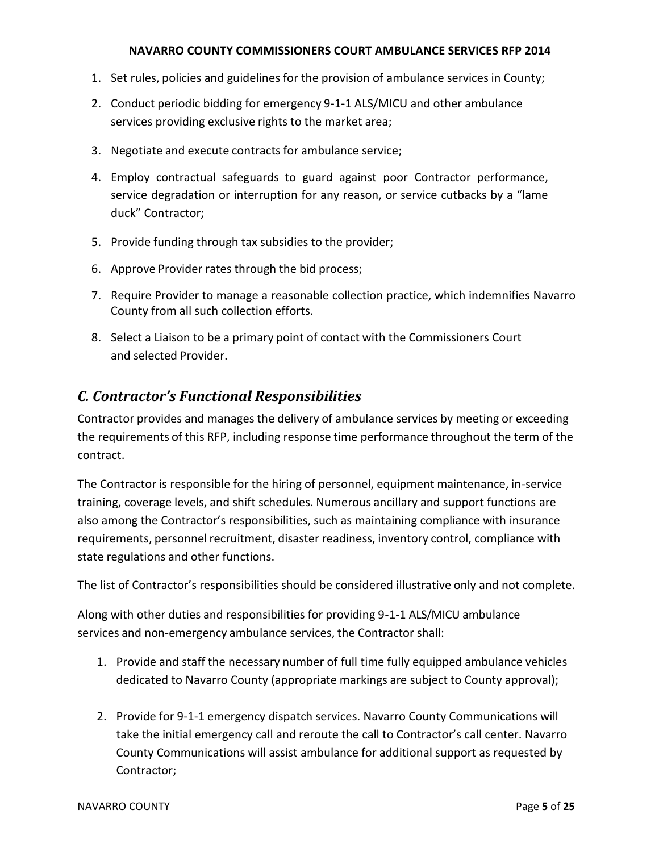#### **NAVARRO COUNTY COMMISSIONERS COURT AMBULANCE SERVICES RFP 2014**

- 1. Set rules, policies and guidelines for the provision of ambulance services in County;
- 2. Conduct periodic bidding for emergency 9-1-1 ALS/MICU and other ambulance services providing exclusive rights to the market area;
- 3. Negotiate and execute contractsfor ambulance service;
- 4. Employ contractual safeguards to guard against poor Contractor performance, service degradation or interruption for any reason, or service cutbacks by a "lame duck" Contractor;
- 5. Provide funding through tax subsidies to the provider;
- 6. Approve Provider rates through the bid process;
- 7. Require Provider to manage a reasonable collection practice, which indemnifies Navarro County from all such collection efforts.
- 8. Select a Liaison to be a primary point of contact with the Commissioners Court and selected Provider.

### *C. Contractor's Functional Responsibilities*

Contractor provides and manages the delivery of ambulance services by meeting or exceeding the requirements of this RFP, including response time performance throughout the term of the contract.

The Contractor is responsible for the hiring of personnel, equipment maintenance, in-service training, coverage levels, and shift schedules. Numerous ancillary and support functions are also among the Contractor's responsibilities, such as maintaining compliance with insurance requirements, personnel recruitment, disaster readiness, inventory control, compliance with state regulations and other functions.

The list of Contractor's responsibilities should be considered illustrative only and not complete.

Along with other duties and responsibilities for providing 9-1-1 ALS/MICU ambulance services and non-emergency ambulance services, the Contractor shall:

- 1. Provide and staff the necessary number of full time fully equipped ambulance vehicles dedicated to Navarro County (appropriate markings are subject to County approval);
- 2. Provide for 9-1-1 emergency dispatch services. Navarro County Communications will take the initial emergency call and reroute the call to Contractor's call center. Navarro County Communications will assist ambulance for additional support as requested by Contractor;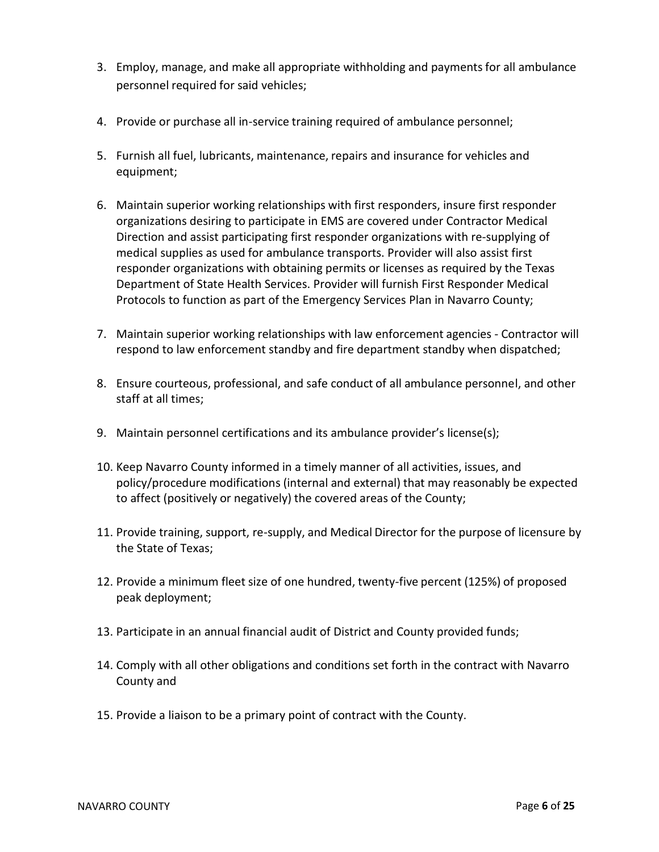- 3. Employ, manage, and make all appropriate withholding and paymentsfor all ambulance personnel required for said vehicles;
- 4. Provide or purchase all in-service training required of ambulance personnel;
- 5. Furnish all fuel, lubricants, maintenance, repairs and insurance for vehicles and equipment;
- 6. Maintain superior working relationships with first responders, insure first responder organizations desiring to participate in EMS are covered under Contractor Medical Direction and assist participating first responder organizations with re-supplying of medical supplies as used for ambulance transports. Provider will also assist first responder organizations with obtaining permits or licenses as required by the Texas Department of State Health Services. Provider will furnish First Responder Medical Protocols to function as part of the Emergency Services Plan in Navarro County;
- 7. Maintain superior working relationships with law enforcement agencies Contractor will respond to law enforcement standby and fire department standby when dispatched;
- 8. Ensure courteous, professional, and safe conduct of all ambulance personnel, and other staff at all times;
- 9. Maintain personnel certifications and its ambulance provider's license(s);
- 10. Keep Navarro County informed in a timely manner of all activities, issues, and policy/procedure modifications (internal and external) that may reasonably be expected to affect (positively or negatively) the covered areas of the County;
- 11. Provide training, support, re-supply, and Medical Director for the purpose of licensure by the State of Texas;
- 12. Provide a minimum fleet size of one hundred, twenty-five percent (125%) of proposed peak deployment;
- 13. Participate in an annual financial audit of District and County provided funds;
- 14. Comply with all other obligations and conditions set forth in the contract with Navarro County and
- 15. Provide a liaison to be a primary point of contract with the County.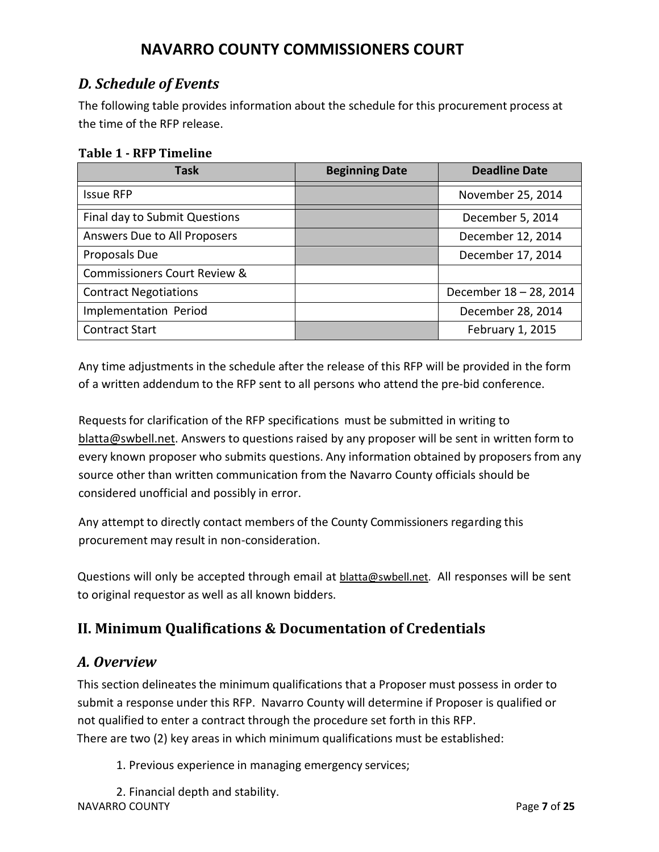## *D. Schedule of Events*

The following table provides information about the schedule for this procurement process at the time of the RFP release.

#### **Table 1 - RFP Timeline**

| <b>Task</b>                             | <b>Beginning Date</b> | <b>Deadline Date</b>   |
|-----------------------------------------|-----------------------|------------------------|
| <b>Issue RFP</b>                        |                       | November 25, 2014      |
| Final day to Submit Questions           |                       | December 5, 2014       |
| Answers Due to All Proposers            |                       | December 12, 2014      |
| Proposals Due                           |                       | December 17, 2014      |
| <b>Commissioners Court Review &amp;</b> |                       |                        |
| <b>Contract Negotiations</b>            |                       | December 18 - 28, 2014 |
| Implementation Period                   |                       | December 28, 2014      |
| <b>Contract Start</b>                   |                       | February 1, 2015       |

Any time adjustments in the schedule after the release of this RFP will be provided in the form of a written addendum to the RFP sent to all persons who attend the pre-bid conference.

Requestsfor clarification of the RFP specifications must be submitted in writing to [blatta@swbell.net.](mailto:blatta@swbell.net) Answers to questions raised by any proposer will be sent in written form to every known proposer who submits questions. Any information obtained by proposers from any source other than written communication from the Navarro County officials should be considered unofficial and possibly in error.

Any attempt to directly contact members of the County Commissioners regarding this procurement may result in non-consideration.

Questions will only be accepted through email at **[blatta@swbell.net.](mailto:blatta@swbell.net)** All responses will be sent to original requestor as well as all known bidders.

## **II. Minimum Qualifications & Documentation of Credentials**

### *A. Overview*

This section delineates the minimum qualifications that a Proposer must possess in order to submit a response under this RFP. Navarro County will determine if Proposer is qualified or not qualified to enter a contract through the procedure set forth in this RFP. There are two (2) key areas in which minimum qualifications must be established:

1. Previous experience in managing emergency services;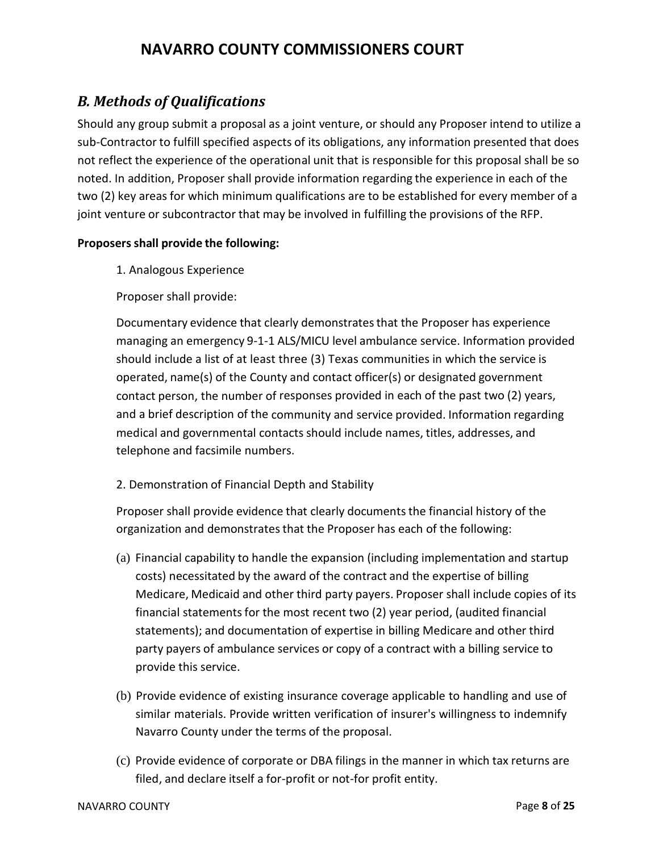## *B. Methods of Qualifications*

Should any group submit a proposal as a joint venture, or should any Proposer intend to utilize a sub-Contractor to fulfill specified aspects of its obligations, any information presented that does not reflect the experience of the operational unit that is responsible for this proposal shall be so noted. In addition, Proposer shall provide information regarding the experience in each of the two (2) key areas for which minimum qualifications are to be established for every member of a joint venture or subcontractor that may be involved in fulfilling the provisions of the RFP.

#### **Proposers shall provide the following:**

1. Analogous Experience

Proposer shall provide:

Documentary evidence that clearly demonstratesthat the Proposer has experience managing an emergency 9-1-1 ALS/MICU level ambulance service. Information provided should include a list of at least three (3) Texas communities in which the service is operated, name(s) of the County and contact officer(s) or designated government contact person, the number of responses provided in each of the past two (2) years, and a brief description of the community and service provided. Information regarding medical and governmental contacts should include names, titles, addresses, and telephone and facsimile numbers.

### 2. Demonstration of Financial Depth and Stability

Proposer shall provide evidence that clearly documentsthe financial history of the organization and demonstrates that the Proposer has each of the following:

- (a) Financial capability to handle the expansion (including implementation and startup costs) necessitated by the award of the contract and the expertise of billing Medicare, Medicaid and other third party payers. Proposer shall include copies of its financial statements for the most recent two (2) year period, (audited financial statements); and documentation of expertise in billing Medicare and other third party payers of ambulance services or copy of a contract with a billing service to provide this service.
- (b) Provide evidence of existing insurance coverage applicable to handling and use of similar materials. Provide written verification of insurer's willingness to indemnify Navarro County under the terms of the proposal.
- (c) Provide evidence of corporate or DBA filings in the manner in which tax returns are filed, and declare itself a for-profit or not-for profit entity.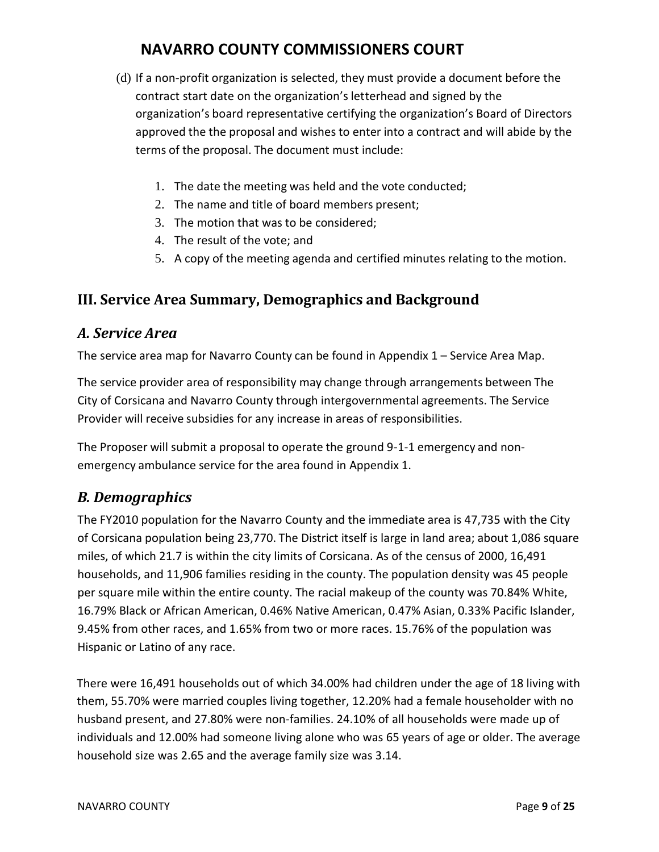- (d) If a non-profit organization is selected, they must provide a document before the contract start date on the organization's letterhead and signed by the organization's board representative certifying the organization's Board of Directors approved the the proposal and wishes to enter into a contract and will abide by the terms of the proposal. The document must include:
	- 1. The date the meeting was held and the vote conducted;
	- 2. The name and title of board members present;
	- 3. The motion that was to be considered;
	- 4. The result of the vote; and
	- 5. A copy of the meeting agenda and certified minutes relating to the motion.

## **III. Service Area Summary, Demographics and Background**

### *A. Service Area*

The service area map for Navarro County can be found in Appendix 1 – Service Area Map.

The service provider area of responsibility may change through arrangements between The City of Corsicana and Navarro County through intergovernmental agreements. The Service Provider will receive subsidies for any increase in areas of responsibilities.

The Proposer will submit a proposal to operate the ground 9-1-1 emergency and nonemergency ambulance service for the area found in Appendix 1.

## *B. Demographics*

The FY2010 population for the Navarro County and the immediate area is 47,735 with the City of Corsicana population being 23,770. The District itself is large in land area; about 1,086 square miles, of which 21.7 is within the city limits of Corsicana. As of the census of 2000, 16,491 households, and 11,906 families residing in the county. The population density was 45 people per square mile within the entire county. The racial makeup of the county was 70.84% White, 16.79% Black or African American, 0.46% Native American, 0.47% Asian, 0.33% Pacific Islander, 9.45% from other races, and 1.65% from two or more races. 15.76% of the population was Hispanic or Latino of any race.

There were 16,491 households out of which 34.00% had children under the age of 18 living with them, 55.70% were married couples living together, 12.20% had a female householder with no husband present, and 27.80% were non-families. 24.10% of all households were made up of individuals and 12.00% had someone living alone who was 65 years of age or older. The average household size was 2.65 and the average family size was 3.14.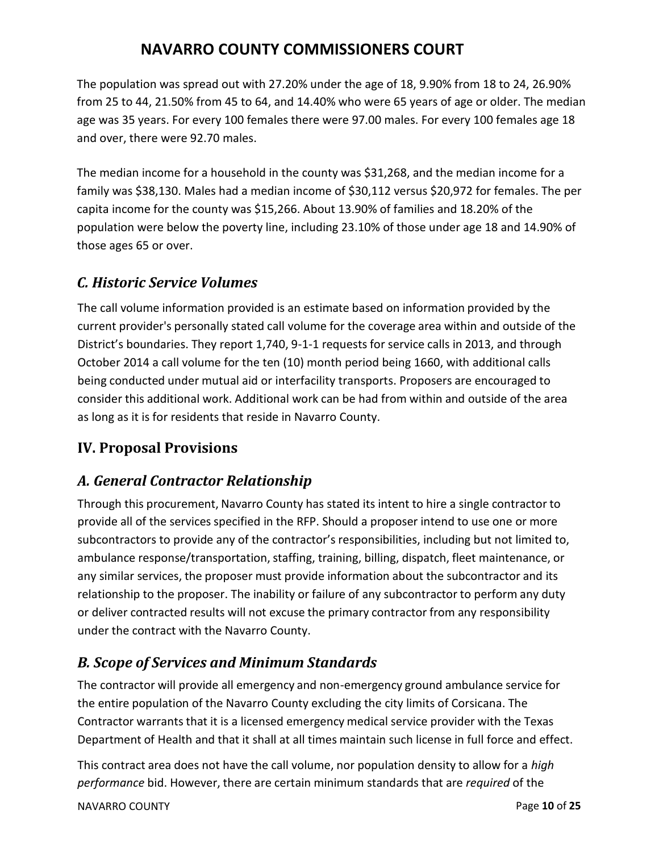The population was spread out with 27.20% under the age of 18, 9.90% from 18 to 24, 26.90% from 25 to 44, 21.50% from 45 to 64, and 14.40% who were 65 years of age or older. The median age was 35 years. For every 100 females there were 97.00 males. For every 100 females age 18 and over, there were 92.70 males.

The median income for a household in the county was \$31,268, and the median income for a family was \$38,130. Males had a median income of \$30,112 versus \$20,972 for females. The per capita income for the county was \$15,266. About 13.90% of families and 18.20% of the population were below the poverty line, including 23.10% of those under age 18 and 14.90% of those ages 65 or over.

### *C. Historic Service Volumes*

The call volume information provided is an estimate based on information provided by the current provider's personally stated call volume for the coverage area within and outside of the District's boundaries. They report 1,740, 9-1-1 requests for service calls in 2013, and through October 2014 a call volume for the ten (10) month period being 1660, with additional calls being conducted under mutual aid or interfacility transports. Proposers are encouraged to consider this additional work. Additional work can be had from within and outside of the area as long as it is for residents that reside in Navarro County.

## **IV. Proposal Provisions**

## *A. General Contractor Relationship*

Through this procurement, Navarro County has stated its intent to hire a single contractor to provide all of the services specified in the RFP. Should a proposer intend to use one or more subcontractors to provide any of the contractor's responsibilities, including but not limited to, ambulance response/transportation, staffing, training, billing, dispatch, fleet maintenance, or any similar services, the proposer must provide information about the subcontractor and its relationship to the proposer. The inability or failure of any subcontractor to perform any duty or deliver contracted results will not excuse the primary contractor from any responsibility under the contract with the Navarro County.

## *B. Scope of Services and Minimum Standards*

The contractor will provide all emergency and non-emergency ground ambulance service for the entire population of the Navarro County excluding the city limits of Corsicana. The Contractor warrants that it is a licensed emergency medical service provider with the Texas Department of Health and that it shall at all times maintain such license in full force and effect.

NAVARRO COUNTY **Page 10** of **25** This contract area does not have the call volume, nor population density to allow for a *high performance* bid. However, there are certain minimum standards that are *required* of the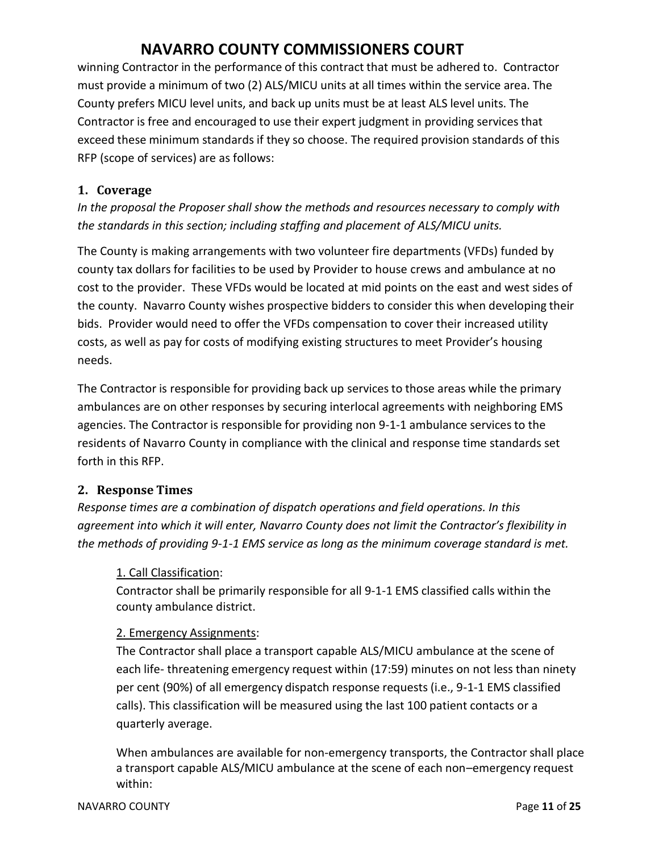winning Contractor in the performance of this contract that must be adhered to. Contractor must provide a minimum of two (2) ALS/MICU units at all times within the service area. The County prefers MICU level units, and back up units must be at least ALS level units. The Contractor is free and encouraged to use their expert judgment in providing servicesthat exceed these minimum standards if they so choose. The required provision standards of this RFP (scope of services) are as follows:

#### **1. Coverage**

*In the proposal the Proposer shall show the methods and resources necessary to comply with the standards in this section; including staffing and placement of ALS/MICU units.*

The County is making arrangements with two volunteer fire departments (VFDs) funded by county tax dollars for facilities to be used by Provider to house crews and ambulance at no cost to the provider. These VFDs would be located at mid points on the east and west sides of the county. Navarro County wishes prospective bidders to consider this when developing their bids. Provider would need to offer the VFDs compensation to cover their increased utility costs, as well as pay for costs of modifying existing structures to meet Provider's housing needs.

The Contractor is responsible for providing back up servicesto those areas while the primary ambulances are on other responses by securing interlocal agreements with neighboring EMS agencies. The Contractor is responsible for providing non 9-1-1 ambulance services to the residents of Navarro County in compliance with the clinical and response time standards set forth in this RFP.

### **2. Response Times**

*Response times are a combination of dispatch operations and field operations. In this agreement into which it will enter, Navarro County does not limit the Contractor's flexibility in the methods of providing 9-1-1 EMS service as long as the minimum coverage standard is met.*

#### 1. Call Classification:

Contractor shall be primarily responsible for all 9-1-1 EMS classified calls within the county ambulance district.

#### 2. Emergency Assignments:

The Contractor shall place a transport capable ALS/MICU ambulance at the scene of each life- threatening emergency request within (17:59) minutes on not less than ninety per cent (90%) of all emergency dispatch response requests (i.e., 9-1-1 EMS classified calls). This classification will be measured using the last 100 patient contacts or a quarterly average.

When ambulances are available for non-emergency transports, the Contractor shall place a transport capable ALS/MICU ambulance at the scene of each non–emergency request within: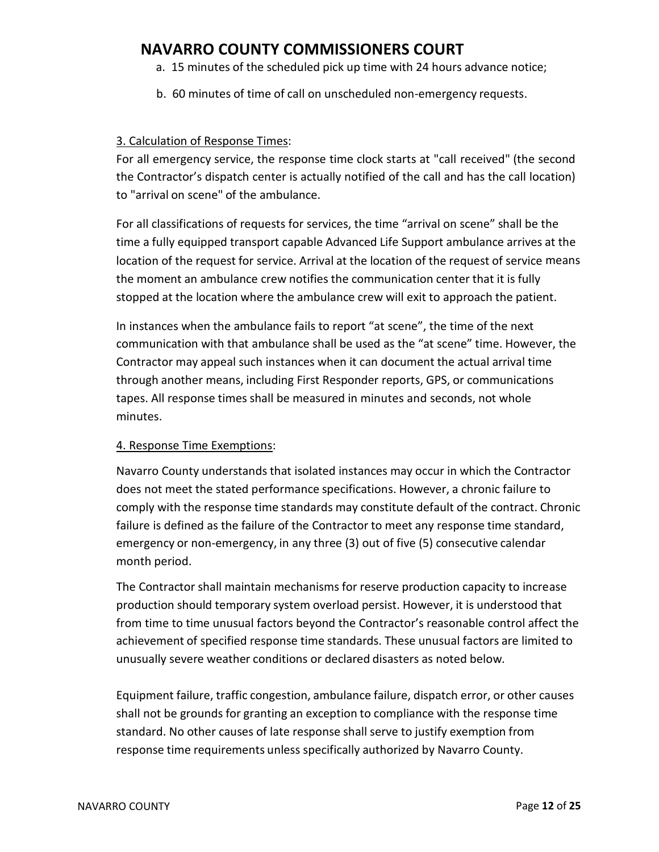- a. 15 minutes of the scheduled pick up time with 24 hours advance notice;
- b. 60 minutes of time of call on unscheduled non-emergency requests.

#### 3. Calculation of Response Times :

For all emergency service, the response time clock starts at "call received" (the second the Contractor's dispatch center is actually notified of the call and has the call location) to "arrival on scene" of the ambulance.

For all classifications of requests for services, the time "arrival on scene" shall be the time a fully equipped transport capable Advanced Life Support ambulance arrives at the location of the request for service. Arrival at the location of the request of service means the moment an ambulance crew notifies the communication center that it is fully stopped at the location where the ambulance crew will exit to approach the patient.

In instances when the ambulance fails to report "at scene", the time of the next communication with that ambulance shall be used as the "at scene" time. However, the Contractor may appeal such instances when it can document the actual arrival time through another means, including First Responder reports, GPS, or communications tapes. All response times shall be measured in minutes and seconds, not whole minutes.

#### 4. Response Time Exemptions:

Navarro County understands that isolated instances may occur in which the Contractor does not meet the stated performance specifications. However, a chronic failure to comply with the response time standards may constitute default of the contract. Chronic failure is defined as the failure of the Contractor to meet any response time standard, emergency or non-emergency, in any three (3) out of five (5) consecutive calendar month period.

The Contractor shall maintain mechanisms for reserve production capacity to increase production should temporary system overload persist. However, it is understood that from time to time unusual factors beyond the Contractor's reasonable control affect the achievement of specified response time standards. These unusual factors are limited to unusually severe weather conditions or declared disasters as noted below.

Equipment failure, traffic congestion, ambulance failure, dispatch error, or other causes shall not be grounds for granting an exception to compliance with the response time standard. No other causes of late response shall serve to justify exemption from response time requirements unless specifically authorized by Navarro County.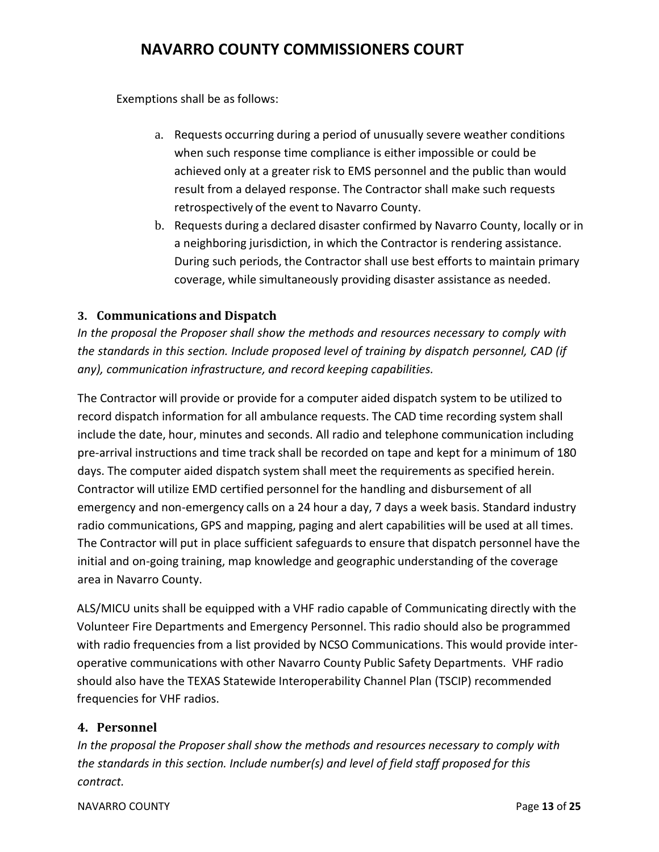Exemptions shall be as follows:

- a. Requests occurring during a period of unusually severe weather conditions when such response time compliance is either impossible or could be achieved only at a greater risk to EMS personnel and the public than would result from a delayed response. The Contractor shall make such requests retrospectively of the event to Navarro County.
- b. Requests during a declared disaster confirmed by Navarro County, locally or in a neighboring jurisdiction, in which the Contractor is rendering assistance. During such periods, the Contractor shall use best efforts to maintain primary coverage, while simultaneously providing disaster assistance as needed.

### **3. Communications and Dispatch**

*In the proposal the Proposer shall show the methods and resources necessary to comply with the standards in this section. Include proposed level of training by dispatch personnel, CAD (if any), communication infrastructure, and record keeping capabilities.*

The Contractor will provide or provide for a computer aided dispatch system to be utilized to record dispatch information for all ambulance requests. The CAD time recording system shall include the date, hour, minutes and seconds. All radio and telephone communication including pre-arrival instructions and time track shall be recorded on tape and kept for a minimum of 180 days. The computer aided dispatch system shall meet the requirements as specified herein. Contractor will utilize EMD certified personnel for the handling and disbursement of all emergency and non-emergency calls on a 24 hour a day, 7 days a week basis. Standard industry radio communications, GPS and mapping, paging and alert capabilities will be used at all times. The Contractor will put in place sufficient safeguards to ensure that dispatch personnel have the initial and on-going training, map knowledge and geographic understanding of the coverage area in Navarro County.

ALS/MICU units shall be equipped with a VHF radio capable of Communicating directly with the Volunteer Fire Departments and Emergency Personnel. This radio should also be programmed with radio frequencies from a list provided by NCSO Communications. This would provide interoperative communications with other Navarro County Public Safety Departments. VHF radio should also have the TEXAS Statewide Interoperability Channel Plan (TSCIP) recommended frequencies for VHF radios.

#### **4. Personnel**

*In the proposal the Proposer shall show the methods and resources necessary to comply with the standards in this section. Include number(s) and level of field staff proposed for this contract.*

#### NAVARRO COUNTY **Page 13** of **25**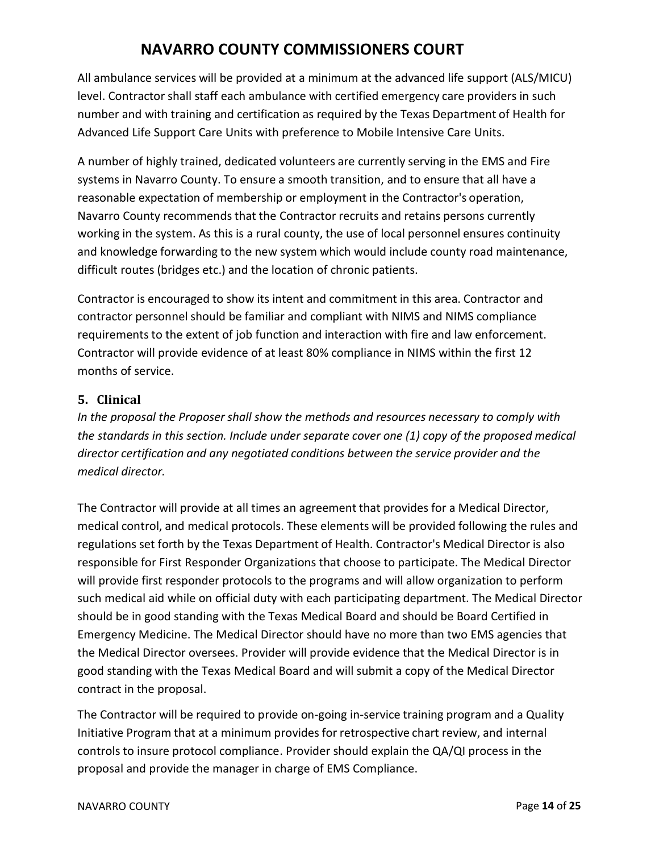All ambulance services will be provided at a minimum at the advanced life support (ALS/MICU) level. Contractor shall staff each ambulance with certified emergency care providers in such number and with training and certification as required by the Texas Department of Health for Advanced Life Support Care Units with preference to Mobile Intensive Care Units.

A number of highly trained, dedicated volunteers are currently serving in the EMS and Fire systems in Navarro County. To ensure a smooth transition, and to ensure that all have a reasonable expectation of membership or employment in the Contractor's operation, Navarro County recommends that the Contractor recruits and retains persons currently working in the system. As this is a rural county, the use of local personnel ensures continuity and knowledge forwarding to the new system which would include county road maintenance, difficult routes (bridges etc.) and the location of chronic patients.

Contractor is encouraged to show its intent and commitment in this area. Contractor and contractor personnel should be familiar and compliant with NIMS and NIMS compliance requirements to the extent of job function and interaction with fire and law enforcement. Contractor will provide evidence of at least 80% compliance in NIMS within the first 12 months of service.

### **5. Clinical**

*In the proposal the Proposer shall show the methods and resources necessary to comply with the standards in this section. Include under separate cover one (1) copy of the proposed medical director certification and any negotiated conditions between the service provider and the medical director.*

The Contractor will provide at all times an agreement that provides for a Medical Director, medical control, and medical protocols. These elements will be provided following the rules and regulations set forth by the Texas Department of Health. Contractor's Medical Director is also responsible for First Responder Organizations that choose to participate. The Medical Director will provide first responder protocols to the programs and will allow organization to perform such medical aid while on official duty with each participating department. The Medical Director should be in good standing with the Texas Medical Board and should be Board Certified in Emergency Medicine. The Medical Director should have no more than two EMS agencies that the Medical Director oversees. Provider will provide evidence that the Medical Director is in good standing with the Texas Medical Board and will submit a copy of the Medical Director contract in the proposal.

The Contractor will be required to provide on-going in-service training program and a Quality Initiative Program that at a minimum provides for retrospective chart review, and internal controls to insure protocol compliance. Provider should explain the QA/QI process in the proposal and provide the manager in charge of EMS Compliance.

#### NAVARRO COUNTY **Page 14** of **25**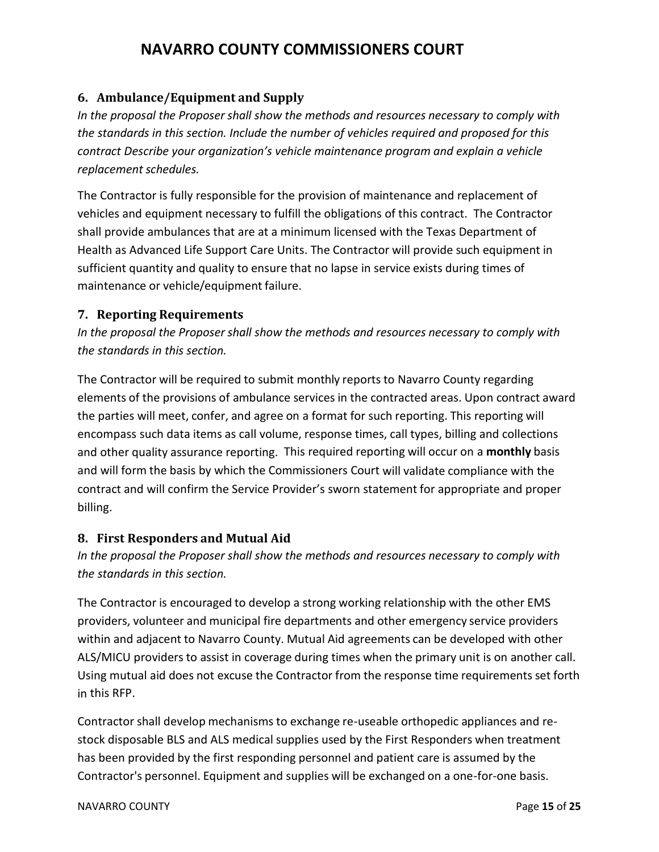### **6. Ambulance/Equipment and Supply**

*In the proposal the Proposer shall show the methods and resources necessary to comply with the standards in this section. Include the number of vehicles required and proposed for this contract Describe your organization's vehicle maintenance program and explain a vehicle replacement schedules.*

The Contractor is fully responsible for the provision of maintenance and replacement of vehicles and equipment necessary to fulfill the obligations of this contract. The Contractor shall provide ambulances that are at a minimum licensed with the Texas Department of Health as Advanced Life Support Care Units. The Contractor will provide such equipment in sufficient quantity and quality to ensure that no lapse in service exists during times of maintenance or vehicle/equipment failure.

#### **7. Reporting Requirements**

*In the proposal the Proposer shall show the methods and resources necessary to comply with the standards in this section.*

The Contractor will be required to submit monthly reports to Navarro County regarding elements of the provisions of ambulance services in the contracted areas. Upon contract award the parties will meet, confer, and agree on a format for such reporting. This reporting will encompass such data items as call volume, response times, call types, billing and collections and other quality assurance reporting. This required reporting will occur on a **monthly** basis and will form the basis by which the Commissioners Court will validate compliance with the contract and will confirm the Service Provider's sworn statement for appropriate and proper billing.

### **8. First Responders and Mutual Aid**

*In the proposal the Proposer shall show the methods and resources necessary to comply with the standards in this section.*

The Contractor is encouraged to develop a strong working relationship with the other EMS providers, volunteer and municipal fire departments and other emergency service providers within and adjacent to Navarro County. Mutual Aid agreements can be developed with other ALS/MICU providers to assist in coverage during times when the primary unit is on another call. Using mutual aid does not excuse the Contractor from the response time requirements set forth in this RFP.

Contractor shall develop mechanisms to exchange re-useable orthopedic appliances and restock disposable BLS and ALS medical supplies used by the First Responders when treatment has been provided by the first responding personnel and patient care is assumed by the Contractor's personnel. Equipment and supplies will be exchanged on a one-for-one basis.

#### NAVARRO COUNTY **Page 15** of **25**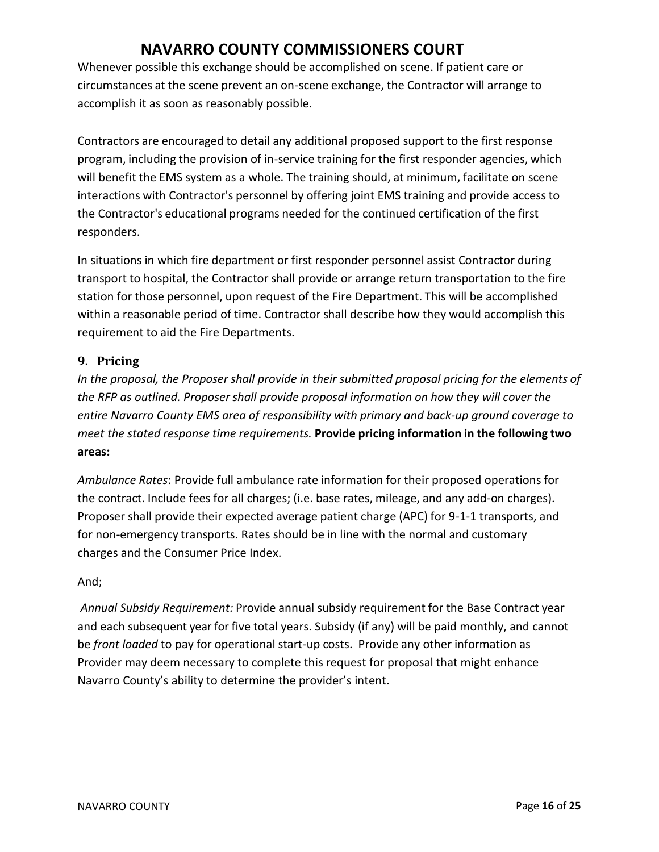Whenever possible this exchange should be accomplished on scene. If patient care or circumstances at the scene prevent an on-scene exchange, the Contractor will arrange to accomplish it as soon as reasonably possible.

Contractors are encouraged to detail any additional proposed support to the first response program, including the provision of in-service training for the first responder agencies, which will benefit the EMS system as a whole. The training should, at minimum, facilitate on scene interactions with Contractor's personnel by offering joint EMS training and provide access to the Contractor's educational programs needed for the continued certification of the first responders.

In situations in which fire department or first responder personnel assist Contractor during transport to hospital, the Contractor shall provide or arrange return transportation to the fire station for those personnel, upon request of the Fire Department. This will be accomplished within a reasonable period of time. Contractor shall describe how they would accomplish this requirement to aid the Fire Departments.

### **9. Pricing**

*In the proposal, the Proposer shall provide in their submitted proposal pricing for the elements of the RFP as outlined. Proposer shall provide proposal information on how they will cover the entire Navarro County EMS area of responsibility with primary and back-up ground coverage to meet the stated response time requirements.* **Provide pricing information in the following two areas:**

*Ambulance Rates*: Provide full ambulance rate information for their proposed operations for the contract. Include fees for all charges; (i.e. base rates, mileage, and any add-on charges). Proposer shall provide their expected average patient charge (APC) for 9-1-1 transports, and for non-emergency transports. Rates should be in line with the normal and customary charges and the Consumer Price Index.

### And;

*Annual Subsidy Requirement:* Provide annual subsidy requirement for the Base Contract year and each subsequent year for five total years. Subsidy (if any) will be paid monthly, and cannot be *front loaded* to pay for operational start-up costs. Provide any other information as Provider may deem necessary to complete this request for proposal that might enhance Navarro County's ability to determine the provider's intent.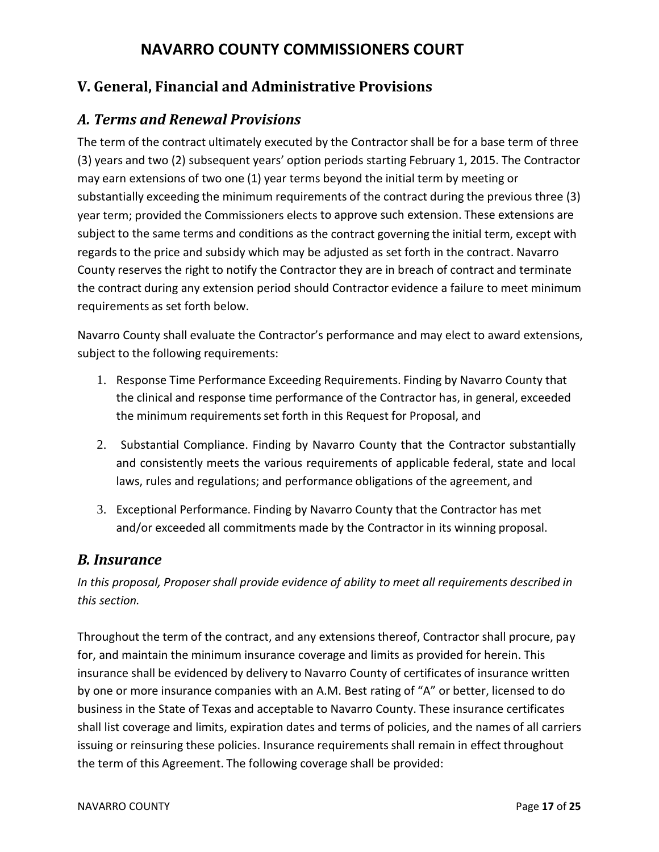## **V. General, Financial and Administrative Provisions**

## *A. Terms and Renewal Provisions*

The term of the contract ultimately executed by the Contractor shall be for a base term of three (3) years and two (2) subsequent years' option periods starting February 1, 2015. The Contractor may earn extensions of two one (1) year terms beyond the initial term by meeting or substantially exceeding the minimum requirements of the contract during the previous three (3) year term; provided the Commissioners elects to approve such extension. These extensions are subject to the same terms and conditions as the contract governing the initial term, except with regards to the price and subsidy which may be adjusted as set forth in the contract. Navarro County reservesthe right to notify the Contractor they are in breach of contract and terminate the contract during any extension period should Contractor evidence a failure to meet minimum requirements as set forth below.

Navarro County shall evaluate the Contractor's performance and may elect to award extensions, subject to the following requirements:

- 1. Response Time Performance Exceeding Requirements. Finding by Navarro County that the clinical and response time performance of the Contractor has, in general, exceeded the minimum requirements set forth in this Request for Proposal, and
- 2. Substantial Compliance. Finding by Navarro County that the Contractor substantially and consistently meets the various requirements of applicable federal, state and local laws, rules and regulations; and performance obligations of the agreement, and
- 3. Exceptional Performance. Finding by Navarro County that the Contractor has met and/or exceeded all commitments made by the Contractor in its winning proposal.

### *B. Insurance*

*In this proposal, Proposer shall provide evidence of ability to meet all requirements described in this section.*

Throughout the term of the contract, and any extensions thereof, Contractor shall procure, pay for, and maintain the minimum insurance coverage and limits as provided for herein. This insurance shall be evidenced by delivery to Navarro County of certificates of insurance written by one or more insurance companies with an A.M. Best rating of "A" or better, licensed to do business in the State of Texas and acceptable to Navarro County. These insurance certificates shall list coverage and limits, expiration dates and terms of policies, and the names of all carriers issuing or reinsuring these policies. Insurance requirements shall remain in effect throughout the term of this Agreement. The following coverage shall be provided: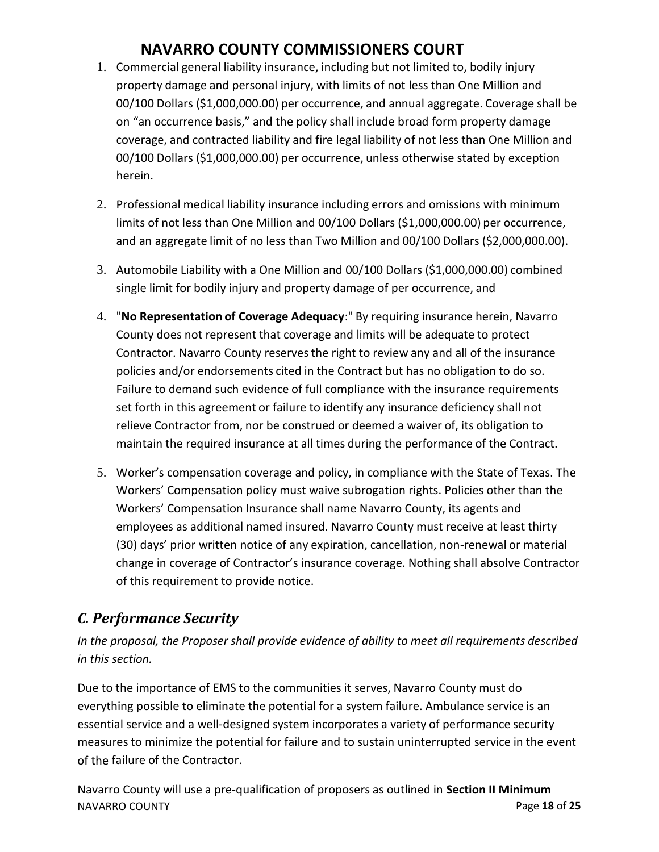- 1. Commercial general liability insurance, including but not limited to, bodily injury property damage and personal injury, with limits of not less than One Million and 00/100 Dollars (\$1,000,000.00) per occurrence, and annual aggregate. Coverage shall be on "an occurrence basis," and the policy shall include broad form property damage coverage, and contracted liability and fire legal liability of not less than One Million and 00/100 Dollars (\$1,000,000.00) per occurrence, unless otherwise stated by exception herein.
- 2. Professional medical liability insurance including errors and omissions with minimum limits of not less than One Million and 00/100 Dollars (\$1,000,000.00) per occurrence, and an aggregate limit of no less than Two Million and 00/100 Dollars (\$2,000,000.00).
- 3. Automobile Liability with a One Million and 00/100 Dollars (\$1,000,000.00) combined single limit for bodily injury and property damage of per occurrence, and
- 4. "**No Representation of Coverage Adequacy**:" By requiring insurance herein, Navarro County does not represent that coverage and limits will be adequate to protect Contractor. Navarro County reservesthe right to review any and all of the insurance policies and/or endorsements cited in the Contract but has no obligation to do so. Failure to demand such evidence of full compliance with the insurance requirements set forth in this agreement or failure to identify any insurance deficiency shall not relieve Contractor from, nor be construed or deemed a waiver of, its obligation to maintain the required insurance at all times during the performance of the Contract.
- 5. Worker's compensation coverage and policy, in compliance with the State of Texas. The Workers' Compensation policy must waive subrogation rights. Policies other than the Workers' Compensation Insurance shall name Navarro County, its agents and employees as additional named insured. Navarro County must receive at least thirty (30) days' prior written notice of any expiration, cancellation, non-renewal or material change in coverage of Contractor's insurance coverage. Nothing shall absolve Contractor of this requirement to provide notice.

## *C. Performance Security*

*In the proposal, the Proposer shall provide evidence of ability to meet all requirements described in this section.*

Due to the importance of EMS to the communities it serves, Navarro County must do everything possible to eliminate the potential for a system failure. Ambulance service is an essential service and a well-designed system incorporates a variety of performance security measures to minimize the potential for failure and to sustain uninterrupted service in the event of the failure of the Contractor.

NAVARRO COUNTY **Page 18** of **25** Navarro County will use a pre-qualification of proposers as outlined in **Section II Minimum**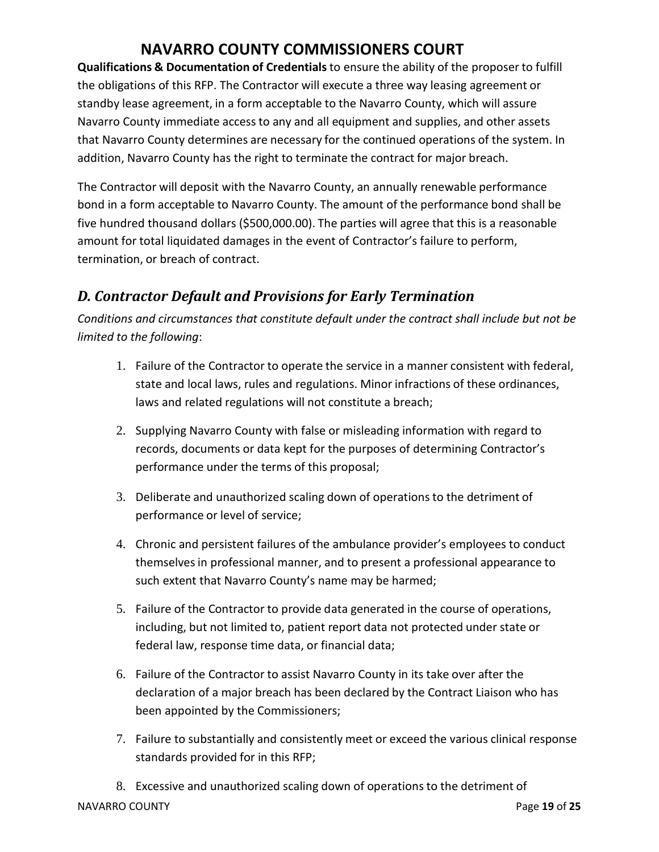**Qualifications & Documentation of Credentials** to ensure the ability of the proposer to fulfill the obligations of this RFP. The Contractor will execute a three way leasing agreement or standby lease agreement, in a form acceptable to the Navarro County, which will assure Navarro County immediate access to any and all equipment and supplies, and other assets that Navarro County determines are necessary for the continued operations of the system. In addition, Navarro County has the right to terminate the contract for major breach.

The Contractor will deposit with the Navarro County, an annually renewable performance bond in a form acceptable to Navarro County. The amount of the performance bond shall be five hundred thousand dollars (\$500,000.00). The parties will agree that this is a reasonable amount for total liquidated damages in the event of Contractor's failure to perform, termination, or breach of contract.

## *D. Contractor Default and Provisions for Early Termination*

*Conditions and circumstances that constitute default under the contract shall include but not be limited to the following*:

- 1. Failure of the Contractor to operate the service in a manner consistent with federal, state and local laws, rules and regulations. Minor infractions of these ordinances, laws and related regulations will not constitute a breach;
- 2. Supplying Navarro County with false or misleading information with regard to records, documents or data kept for the purposes of determining Contractor's performance under the terms of this proposal;
- 3. Deliberate and unauthorized scaling down of operationsto the detriment of performance or level of service;
- 4. Chronic and persistent failures of the ambulance provider's employees to conduct themselvesin professional manner, and to present a professional appearance to such extent that Navarro County's name may be harmed;
- 5. Failure of the Contractor to provide data generated in the course of operations, including, but not limited to, patient report data not protected under state or federal law, response time data, or financial data;
- 6. Failure of the Contractor to assist Navarro County in its take over after the declaration of a major breach has been declared by the Contract Liaison who has been appointed by the Commissioners;
- 7. Failure to substantially and consistently meet or exceed the various clinical response standards provided for in this RFP;

NAVARRO COUNTY **Page 19** of **25** 8. Excessive and unauthorized scaling down of operations to the detriment of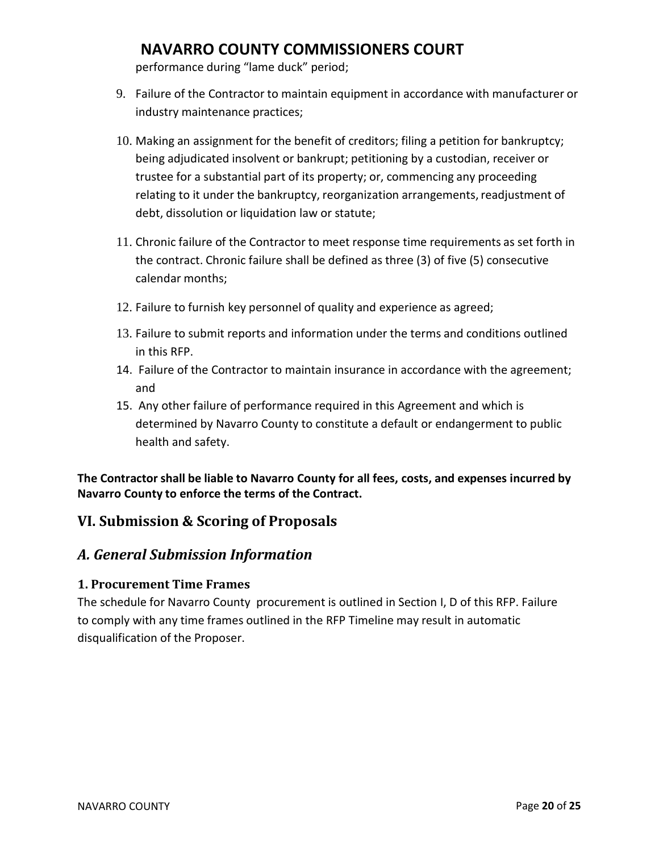performance during "lame duck" period;

- 9. Failure of the Contractor to maintain equipment in accordance with manufacturer or industry maintenance practices;
- 10. Making an assignment for the benefit of creditors; filing a petition for bankruptcy; being adjudicated insolvent or bankrupt; petitioning by a custodian, receiver or trustee for a substantial part of its property; or, commencing any proceeding relating to it under the bankruptcy, reorganization arrangements, readjustment of debt, dissolution or liquidation law or statute;
- 11. Chronic failure of the Contractor to meet response time requirements as set forth in the contract. Chronic failure shall be defined as three (3) of five (5) consecutive calendar months;
- 12. Failure to furnish key personnel of quality and experience as agreed;
- 13. Failure to submit reports and information under the terms and conditions outlined in this RFP.
- 14. Failure of the Contractor to maintain insurance in accordance with the agreement; and
- 15. Any other failure of performance required in this Agreement and which is determined by Navarro County to constitute a default or endangerment to public health and safety.

**The Contractor shall be liable to Navarro County for all fees, costs, and expenses incurred by Navarro County to enforce the terms of the Contract.**

## **VI. Submission & Scoring of Proposals**

## *A. General Submission Information*

### **1. Procurement Time Frames**

The schedule for Navarro County procurement is outlined in Section I, D of this RFP. Failure to comply with any time frames outlined in the RFP Timeline may result in automatic disqualification of the Proposer.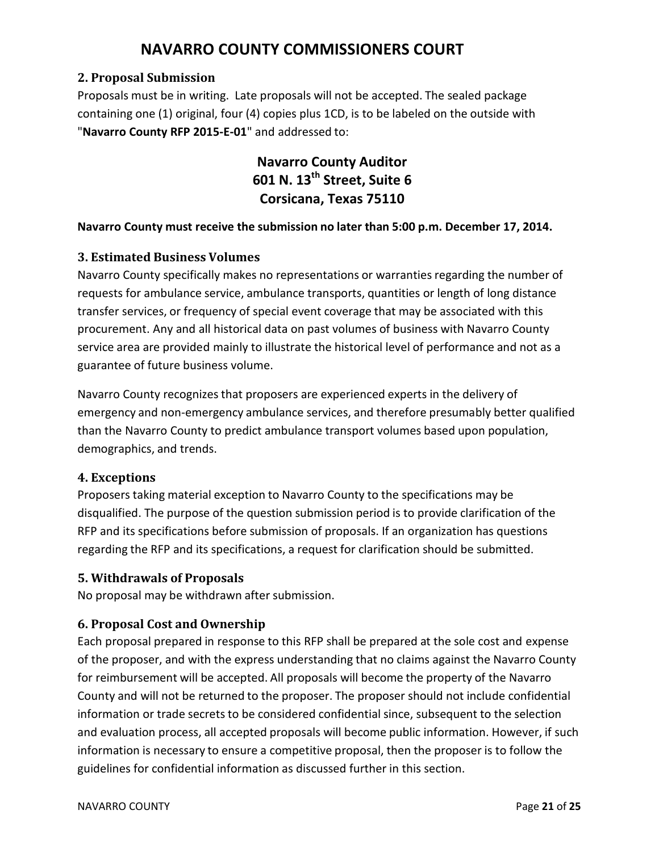### **2. Proposal Submission**

Proposals must be in writing. Late proposals will not be accepted. The sealed package containing one (1) original, four (4) copies plus 1CD, is to be labeled on the outside with "**Navarro County RFP 2015-E-01**" and addressed to:

> **Navarro County Auditor 601 N. 13th Street, Suite 6 Corsicana, Texas 75110**

#### **Navarro County must receive the submission no later than 5:00 p.m. December 17, 2014.**

### **3. Estimated Business Volumes**

Navarro County specifically makes no representations or warranties regarding the number of requests for ambulance service, ambulance transports, quantities or length of long distance transfer services, or frequency of special event coverage that may be associated with this procurement. Any and all historical data on past volumes of business with Navarro County service area are provided mainly to illustrate the historical level of performance and not as a guarantee of future business volume.

Navarro County recognizesthat proposers are experienced experts in the delivery of emergency and non-emergency ambulance services, and therefore presumably better qualified than the Navarro County to predict ambulance transport volumes based upon population, demographics, and trends.

### **4. Exceptions**

Proposers taking material exception to Navarro County to the specifications may be disqualified. The purpose of the question submission period is to provide clarification of the RFP and its specifications before submission of proposals. If an organization has questions regarding the RFP and its specifications, a request for clarification should be submitted.

### **5. Withdrawals of Proposals**

No proposal may be withdrawn after submission.

### **6. Proposal Cost and Ownership**

Each proposal prepared in response to this RFP shall be prepared at the sole cost and expense of the proposer, and with the express understanding that no claims against the Navarro County for reimbursement will be accepted. All proposals will become the property of the Navarro County and will not be returned to the proposer. The proposer should not include confidential information or trade secrets to be considered confidential since, subsequent to the selection and evaluation process, all accepted proposals will become public information. However, if such information is necessary to ensure a competitive proposal, then the proposer is to follow the guidelines for confidential information as discussed further in this section.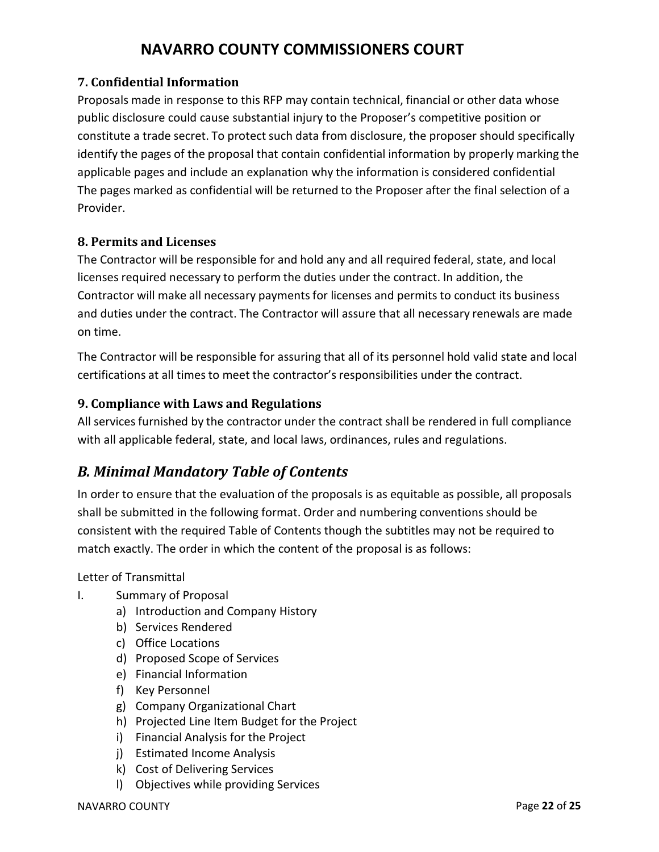### **7. Confidential Information**

Proposals made in response to this RFP may contain technical, financial or other data whose public disclosure could cause substantial injury to the Proposer's competitive position or constitute a trade secret. To protect such data from disclosure, the proposer should specifically identify the pages of the proposal that contain confidential information by properly marking the applicable pages and include an explanation why the information is considered confidential The pages marked as confidential will be returned to the Proposer after the final selection of a Provider.

### **8. Permits and Licenses**

The Contractor will be responsible for and hold any and all required federal, state, and local licenses required necessary to perform the duties under the contract. In addition, the Contractor will make all necessary payments for licenses and permits to conduct its business and duties under the contract. The Contractor will assure that all necessary renewals are made on time.

The Contractor will be responsible for assuring that all of its personnel hold valid state and local certifications at all times to meet the contractor's responsibilities under the contract.

### **9. Compliance with Laws and Regulations**

All services furnished by the contractor under the contract shall be rendered in full compliance with all applicable federal, state, and local laws, ordinances, rules and regulations.

## *B. Minimal Mandatory Table of Contents*

In order to ensure that the evaluation of the proposals is as equitable as possible, all proposals shall be submitted in the following format. Order and numbering conventions should be consistent with the required Table of Contents though the subtitles may not be required to match exactly. The order in which the content of the proposal is as follows:

Letter of Transmittal

- I. Summary of Proposal
	- a) Introduction and Company History
	- b) Services Rendered
	- c) Office Locations
	- d) Proposed Scope of Services
	- e) Financial Information
	- f) Key Personnel
	- g) Company Organizational Chart
	- h) Projected Line Item Budget for the Project
	- i) Financial Analysis for the Project
	- j) Estimated Income Analysis
	- k) Cost of Delivering Services
	- l) Objectives while providing Services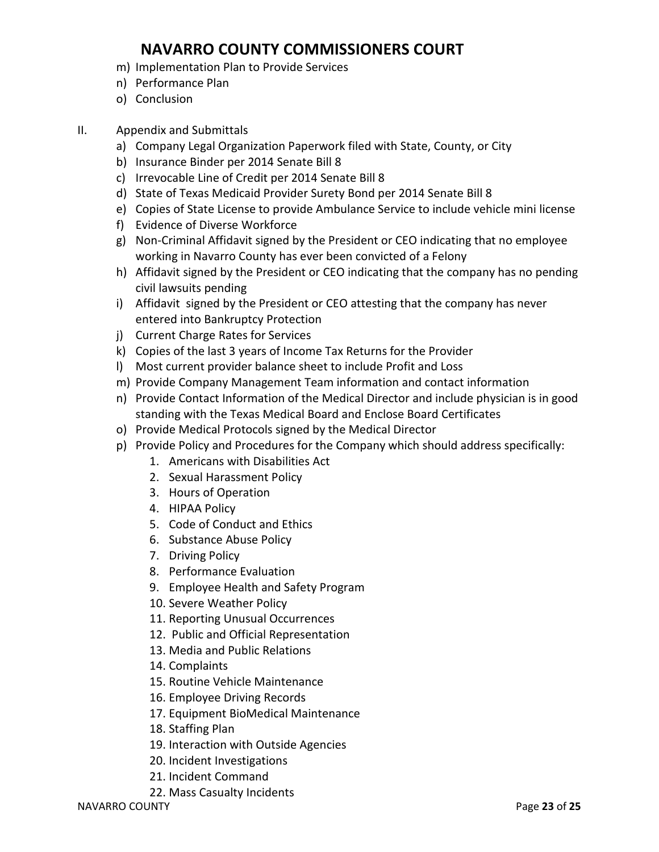- m) Implementation Plan to Provide Services
- n) Performance Plan
- o) Conclusion
- II. Appendix and Submittals
	- a) Company Legal Organization Paperwork filed with State, County, or City
	- b) Insurance Binder per 2014 Senate Bill 8
	- c) Irrevocable Line of Credit per 2014 Senate Bill 8
	- d) State of Texas Medicaid Provider Surety Bond per 2014 Senate Bill 8
	- e) Copies of State License to provide Ambulance Service to include vehicle mini license
	- f) Evidence of Diverse Workforce
	- g) Non-Criminal Affidavit signed by the President or CEO indicating that no employee working in Navarro County has ever been convicted of a Felony
	- h) Affidavit signed by the President or CEO indicating that the company has no pending civil lawsuits pending
	- i) Affidavit signed by the President or CEO attesting that the company has never entered into Bankruptcy Protection
	- j) Current Charge Rates for Services
	- k) Copies of the last 3 years of Income Tax Returns for the Provider
	- l) Most current provider balance sheet to include Profit and Loss
	- m) Provide Company Management Team information and contact information
	- n) Provide Contact Information of the Medical Director and include physician is in good standing with the Texas Medical Board and Enclose Board Certificates
	- o) Provide Medical Protocols signed by the Medical Director
	- p) Provide Policy and Procedures for the Company which should address specifically:
		- 1. Americans with Disabilities Act
		- 2. Sexual Harassment Policy
		- 3. Hours of Operation
		- 4. HIPAA Policy
		- 5. Code of Conduct and Ethics
		- 6. Substance Abuse Policy
		- 7. Driving Policy
		- 8. Performance Evaluation
		- 9. Employee Health and Safety Program
		- 10. Severe Weather Policy
		- 11. Reporting Unusual Occurrences
		- 12. Public and Official Representation
		- 13. Media and Public Relations
		- 14. Complaints
		- 15. Routine Vehicle Maintenance
		- 16. Employee Driving Records
		- 17. Equipment BioMedical Maintenance
		- 18. Staffing Plan
		- 19. Interaction with Outside Agencies
		- 20. Incident Investigations
		- 21. Incident Command
		- 22. Mass Casualty Incidents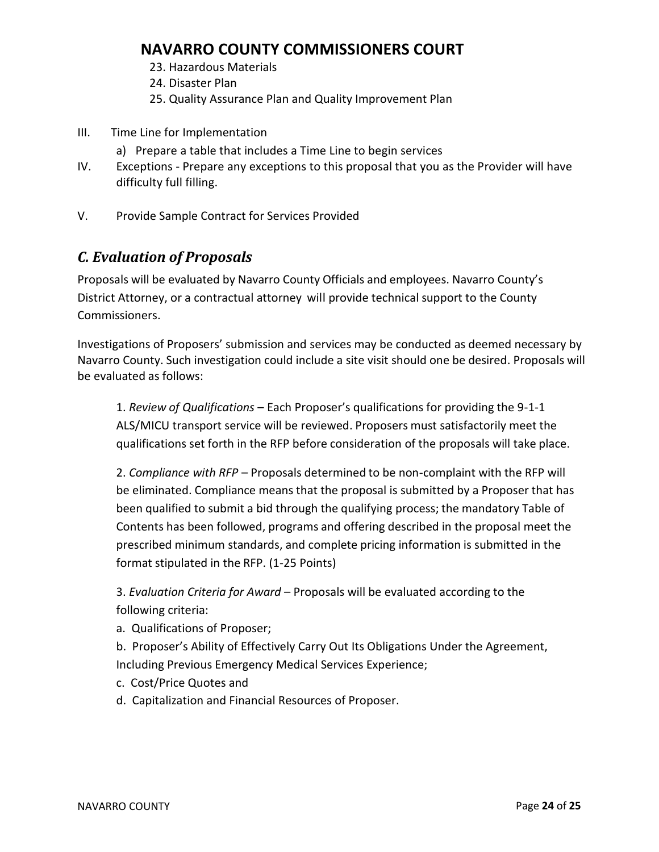- 23. Hazardous Materials
- 24. Disaster Plan
- 25. Quality Assurance Plan and Quality Improvement Plan
- III. Time Line for Implementation
	- a) Prepare a table that includes a Time Line to begin services
- IV. Exceptions Prepare any exceptions to this proposal that you as the Provider will have difficulty full filling.
- V. Provide Sample Contract for Services Provided

## *C. Evaluation of Proposals*

Proposals will be evaluated by Navarro County Officials and employees. Navarro County's District Attorney, or a contractual attorney will provide technical support to the County Commissioners.

Investigations of Proposers' submission and services may be conducted as deemed necessary by Navarro County. Such investigation could include a site visit should one be desired. Proposals will be evaluated as follows:

1. *Review of Qualifications* – Each Proposer's qualifications for providing the 9-1-1 ALS/MICU transport service will be reviewed. Proposers must satisfactorily meet the qualifications set forth in the RFP before consideration of the proposals will take place.

2. *Compliance with RFP* – Proposals determined to be non-complaint with the RFP will be eliminated. Compliance means that the proposal is submitted by a Proposer that has been qualified to submit a bid through the qualifying process; the mandatory Table of Contents has been followed, programs and offering described in the proposal meet the prescribed minimum standards, and complete pricing information is submitted in the format stipulated in the RFP. (1-25 Points)

3. *Evaluation Criteria for Award* – Proposals will be evaluated according to the following criteria:

- a. Qualifications of Proposer;
- b. Proposer's Ability of Effectively Carry Out Its Obligations Under the Agreement, Including Previous Emergency Medical Services Experience;
- c. Cost/Price Quotes and
- d. Capitalization and Financial Resources of Proposer.